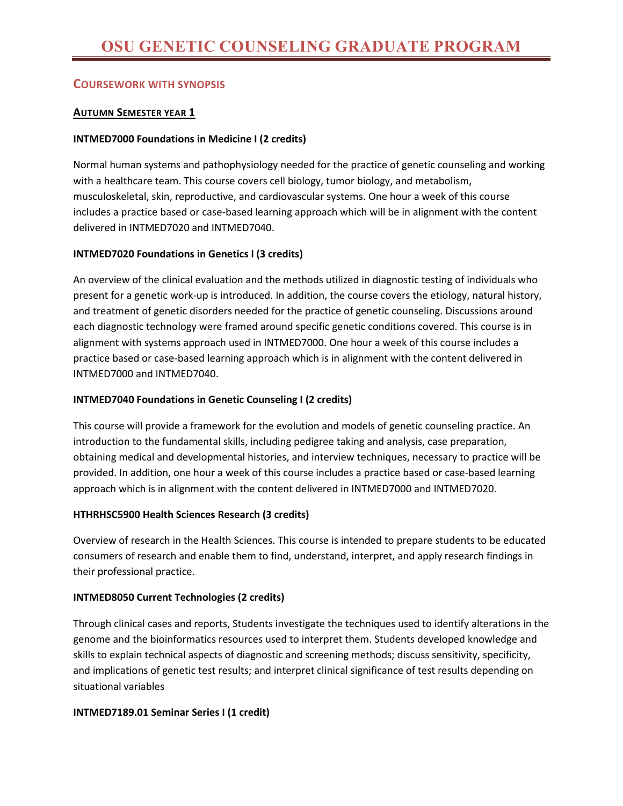# **COURSEWORK WITH SYNOPSIS**

## **AUTUMN SEMESTER YEAR 1**

## **INTMED7000 Foundations in Medicine I (2 credits)**

Normal human systems and pathophysiology needed for the practice of genetic counseling and working with a healthcare team. This course covers cell biology, tumor biology, and metabolism, musculoskeletal, skin, reproductive, and cardiovascular systems. One hour a week of this course includes a practice based or case-based learning approach which will be in alignment with the content delivered in INTMED7020 and INTMED7040.

## **INTMED7020 Foundations in Genetics l (3 credits)**

An overview of the clinical evaluation and the methods utilized in diagnostic testing of individuals who present for a genetic work-up is introduced. In addition, the course covers the etiology, natural history, and treatment of genetic disorders needed for the practice of genetic counseling. Discussions around each diagnostic technology were framed around specific genetic conditions covered. This course is in alignment with systems approach used in INTMED7000. One hour a week of this course includes a practice based or case-based learning approach which is in alignment with the content delivered in INTMED7000 and INTMED7040.

## **INTMED7040 Foundations in Genetic Counseling I (2 credits)**

This course will provide a framework for the evolution and models of genetic counseling practice. An introduction to the fundamental skills, including pedigree taking and analysis, case preparation, obtaining medical and developmental histories, and interview techniques, necessary to practice will be provided. In addition, one hour a week of this course includes a practice based or case-based learning approach which is in alignment with the content delivered in INTMED7000 and INTMED7020.

## **HTHRHSC5900 Health Sciences Research (3 credits)**

Overview of research in the Health Sciences. This course is intended to prepare students to be educated consumers of research and enable them to find, understand, interpret, and apply research findings in their professional practice.

## **INTMED8050 Current Technologies (2 credits)**

Through clinical cases and reports, Students investigate the techniques used to identify alterations in the genome and the bioinformatics resources used to interpret them. Students developed knowledge and skills to explain technical aspects of diagnostic and screening methods; discuss sensitivity, specificity, and implications of genetic test results; and interpret clinical significance of test results depending on situational variables

## **INTMED7189.01 Seminar Series I (1 credit)**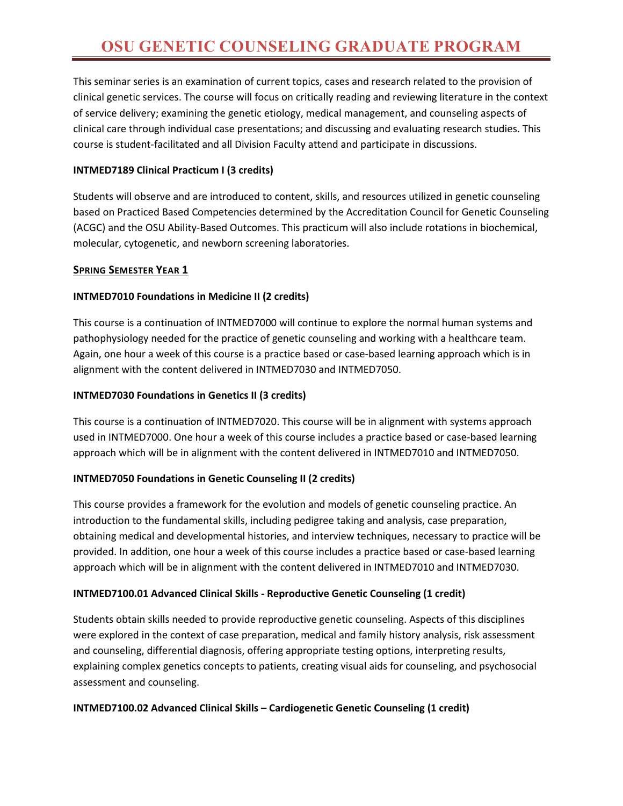This seminar series is an examination of current topics, cases and research related to the provision of clinical genetic services. The course will focus on critically reading and reviewing literature in the context of service delivery; examining the genetic etiology, medical management, and counseling aspects of clinical care through individual case presentations; and discussing and evaluating research studies. This course is student-facilitated and all Division Faculty attend and participate in discussions.

## **INTMED7189 Clinical Practicum I (3 credits)**

Students will observe and are introduced to content, skills, and resources utilized in genetic counseling based on Practiced Based Competencies determined by the Accreditation Council for Genetic Counseling (ACGC) and the OSU Ability-Based Outcomes. This practicum will also include rotations in biochemical, molecular, cytogenetic, and newborn screening laboratories.

## **SPRING SEMESTER YEAR 1**

# **INTMED7010 Foundations in Medicine II (2 credits)**

This course is a continuation of INTMED7000 will continue to explore the normal human systems and pathophysiology needed for the practice of genetic counseling and working with a healthcare team. Again, one hour a week of this course is a practice based or case-based learning approach which is in alignment with the content delivered in INTMED7030 and INTMED7050.

## **INTMED7030 Foundations in Genetics II (3 credits)**

This course is a continuation of INTMED7020. This course will be in alignment with systems approach used in INTMED7000. One hour a week of this course includes a practice based or case-based learning approach which will be in alignment with the content delivered in INTMED7010 and INTMED7050.

# **INTMED7050 Foundations in Genetic Counseling II (2 credits)**

This course provides a framework for the evolution and models of genetic counseling practice. An introduction to the fundamental skills, including pedigree taking and analysis, case preparation, obtaining medical and developmental histories, and interview techniques, necessary to practice will be provided. In addition, one hour a week of this course includes a practice based or case-based learning approach which will be in alignment with the content delivered in INTMED7010 and INTMED7030.

# **INTMED7100.01 Advanced Clinical Skills - Reproductive Genetic Counseling (1 credit)**

Students obtain skills needed to provide reproductive genetic counseling. Aspects of this disciplines were explored in the context of case preparation, medical and family history analysis, risk assessment and counseling, differential diagnosis, offering appropriate testing options, interpreting results, explaining complex genetics concepts to patients, creating visual aids for counseling, and psychosocial assessment and counseling.

## **INTMED7100.02 Advanced Clinical Skills – Cardiogenetic Genetic Counseling (1 credit)**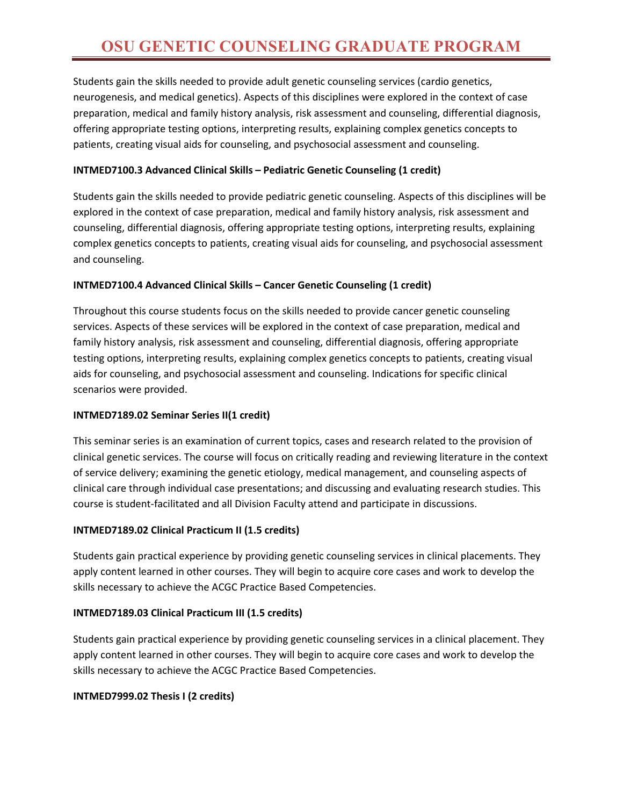Students gain the skills needed to provide adult genetic counseling services (cardio genetics, neurogenesis, and medical genetics). Aspects of this disciplines were explored in the context of case preparation, medical and family history analysis, risk assessment and counseling, differential diagnosis, offering appropriate testing options, interpreting results, explaining complex genetics concepts to patients, creating visual aids for counseling, and psychosocial assessment and counseling.

## **INTMED7100.3 Advanced Clinical Skills – Pediatric Genetic Counseling (1 credit)**

Students gain the skills needed to provide pediatric genetic counseling. Aspects of this disciplines will be explored in the context of case preparation, medical and family history analysis, risk assessment and counseling, differential diagnosis, offering appropriate testing options, interpreting results, explaining complex genetics concepts to patients, creating visual aids for counseling, and psychosocial assessment and counseling.

## **INTMED7100.4 Advanced Clinical Skills – Cancer Genetic Counseling (1 credit)**

Throughout this course students focus on the skills needed to provide cancer genetic counseling services. Aspects of these services will be explored in the context of case preparation, medical and family history analysis, risk assessment and counseling, differential diagnosis, offering appropriate testing options, interpreting results, explaining complex genetics concepts to patients, creating visual aids for counseling, and psychosocial assessment and counseling. Indications for specific clinical scenarios were provided.

## **INTMED7189.02 Seminar Series II(1 credit)**

This seminar series is an examination of current topics, cases and research related to the provision of clinical genetic services. The course will focus on critically reading and reviewing literature in the context of service delivery; examining the genetic etiology, medical management, and counseling aspects of clinical care through individual case presentations; and discussing and evaluating research studies. This course is student-facilitated and all Division Faculty attend and participate in discussions.

## **INTMED7189.02 Clinical Practicum II (1.5 credits)**

Students gain practical experience by providing genetic counseling services in clinical placements. They apply content learned in other courses. They will begin to acquire core cases and work to develop the skills necessary to achieve the ACGC Practice Based Competencies.

## **INTMED7189.03 Clinical Practicum III (1.5 credits)**

Students gain practical experience by providing genetic counseling services in a clinical placement. They apply content learned in other courses. They will begin to acquire core cases and work to develop the skills necessary to achieve the ACGC Practice Based Competencies.

# **INTMED7999.02 Thesis I (2 credits)**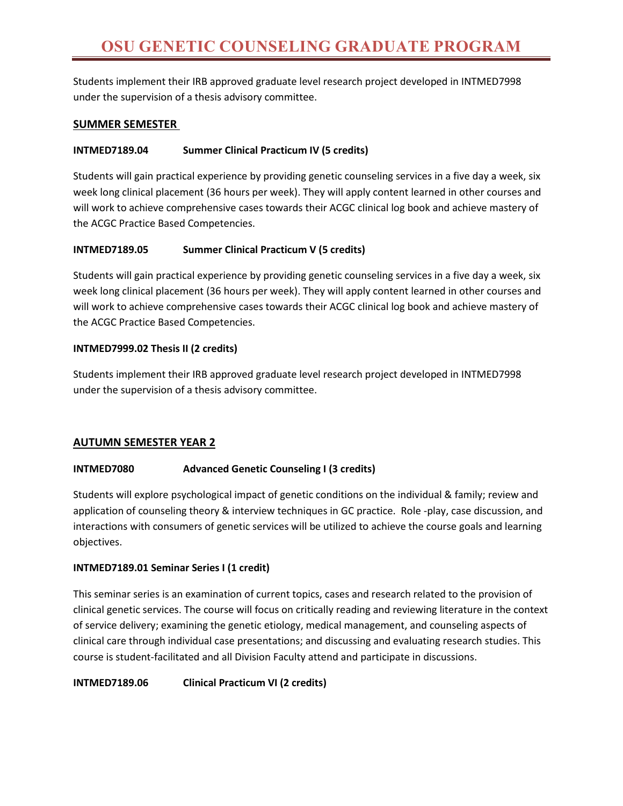Students implement their IRB approved graduate level research project developed in INTMED7998 under the supervision of a thesis advisory committee.

## **SUMMER SEMESTER**

## **INTMED7189.04 Summer Clinical Practicum IV (5 credits)**

Students will gain practical experience by providing genetic counseling services in a five day a week, six week long clinical placement (36 hours per week). They will apply content learned in other courses and will work to achieve comprehensive cases towards their ACGC clinical log book and achieve mastery of the ACGC Practice Based Competencies.

## **INTMED7189.05 Summer Clinical Practicum V (5 credits)**

Students will gain practical experience by providing genetic counseling services in a five day a week, six week long clinical placement (36 hours per week). They will apply content learned in other courses and will work to achieve comprehensive cases towards their ACGC clinical log book and achieve mastery of the ACGC Practice Based Competencies.

## **INTMED7999.02 Thesis II (2 credits)**

Students implement their IRB approved graduate level research project developed in INTMED7998 under the supervision of a thesis advisory committee.

# **AUTUMN SEMESTER YEAR 2**

## **INTMED7080 Advanced Genetic Counseling I (3 credits)**

Students will explore psychological impact of genetic conditions on the individual & family; review and application of counseling theory & interview techniques in GC practice. Role -play, case discussion, and interactions with consumers of genetic services will be utilized to achieve the course goals and learning objectives.

## **INTMED7189.01 Seminar Series I (1 credit)**

This seminar series is an examination of current topics, cases and research related to the provision of clinical genetic services. The course will focus on critically reading and reviewing literature in the context of service delivery; examining the genetic etiology, medical management, and counseling aspects of clinical care through individual case presentations; and discussing and evaluating research studies. This course is student-facilitated and all Division Faculty attend and participate in discussions.

**INTMED7189.06 Clinical Practicum VI (2 credits)**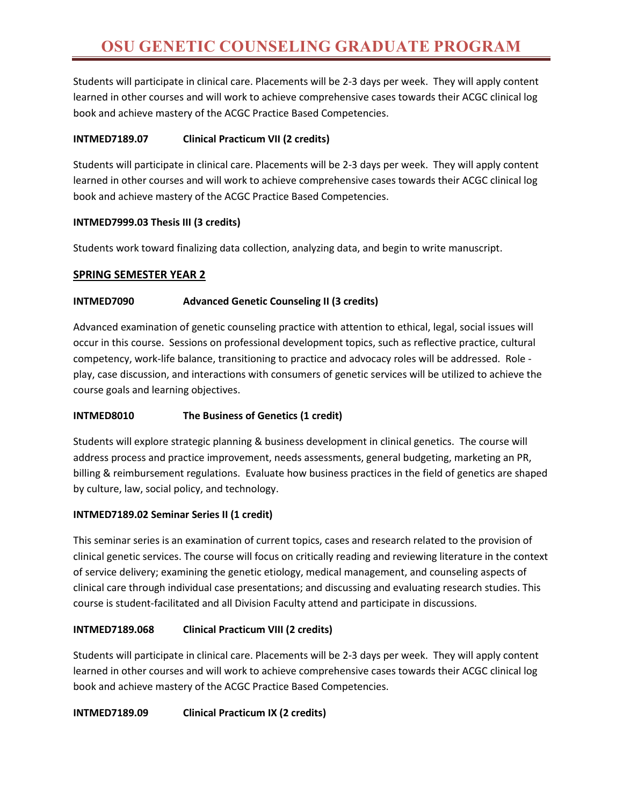Students will participate in clinical care. Placements will be 2-3 days per week. They will apply content learned in other courses and will work to achieve comprehensive cases towards their ACGC clinical log book and achieve mastery of the ACGC Practice Based Competencies.

## **INTMED7189.07 Clinical Practicum VII (2 credits)**

Students will participate in clinical care. Placements will be 2-3 days per week. They will apply content learned in other courses and will work to achieve comprehensive cases towards their ACGC clinical log book and achieve mastery of the ACGC Practice Based Competencies.

## **INTMED7999.03 Thesis III (3 credits)**

Students work toward finalizing data collection, analyzing data, and begin to write manuscript.

## **SPRING SEMESTER YEAR 2**

## **INTMED7090 Advanced Genetic Counseling II (3 credits)**

Advanced examination of genetic counseling practice with attention to ethical, legal, social issues will occur in this course. Sessions on professional development topics, such as reflective practice, cultural competency, work-life balance, transitioning to practice and advocacy roles will be addressed. Role play, case discussion, and interactions with consumers of genetic services will be utilized to achieve the course goals and learning objectives.

## **INTMED8010 The Business of Genetics (1 credit)**

Students will explore strategic planning & business development in clinical genetics. The course will address process and practice improvement, needs assessments, general budgeting, marketing an PR, billing & reimbursement regulations. Evaluate how business practices in the field of genetics are shaped by culture, law, social policy, and technology.

## **INTMED7189.02 Seminar Series II (1 credit)**

This seminar series is an examination of current topics, cases and research related to the provision of clinical genetic services. The course will focus on critically reading and reviewing literature in the context of service delivery; examining the genetic etiology, medical management, and counseling aspects of clinical care through individual case presentations; and discussing and evaluating research studies. This course is student-facilitated and all Division Faculty attend and participate in discussions.

# **INTMED7189.068 Clinical Practicum VIII (2 credits)**

Students will participate in clinical care. Placements will be 2-3 days per week. They will apply content learned in other courses and will work to achieve comprehensive cases towards their ACGC clinical log book and achieve mastery of the ACGC Practice Based Competencies.

## **INTMED7189.09 Clinical Practicum IX (2 credits)**